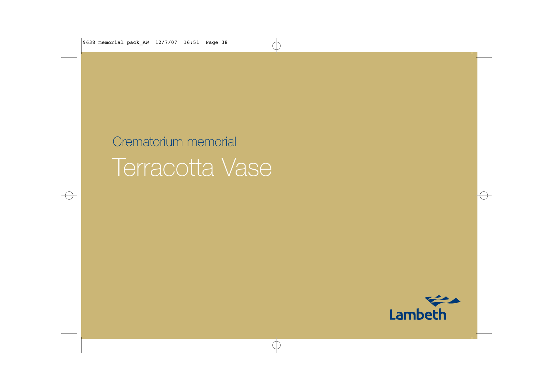# Crematorium memorial Terracotta Vase

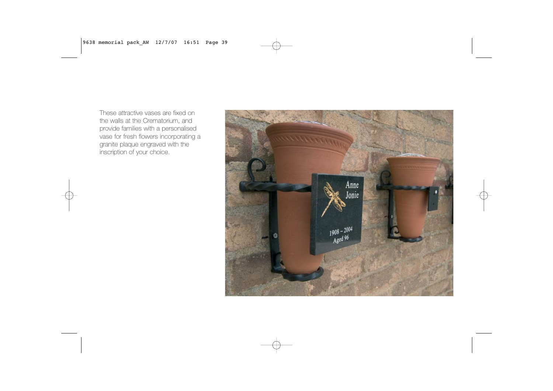These attractive vases are fixed onthe walls at the Crematorium, and provide families with a personalised vase for fresh flowers incorporating a granite plaque engraved with the inscription of your choice.

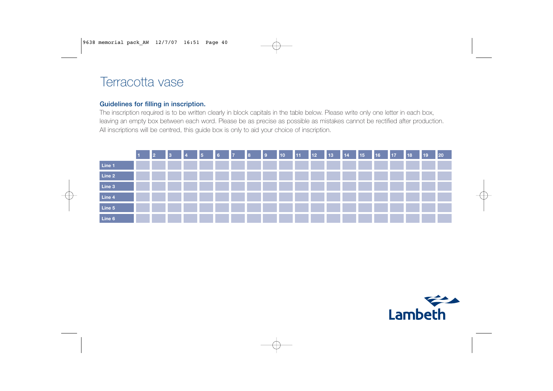# Terracotta vase

## **Guidelines for filling in inscription.**

The inscription required is to be written clearly in block capitals in the table below. Please write only one letter in each box, leaving an empty box between each word. Please be as precise as possible as mistakes cannot be rectified after production. All inscriptions will be centred, this guide box is only to aid your choice of inscription.